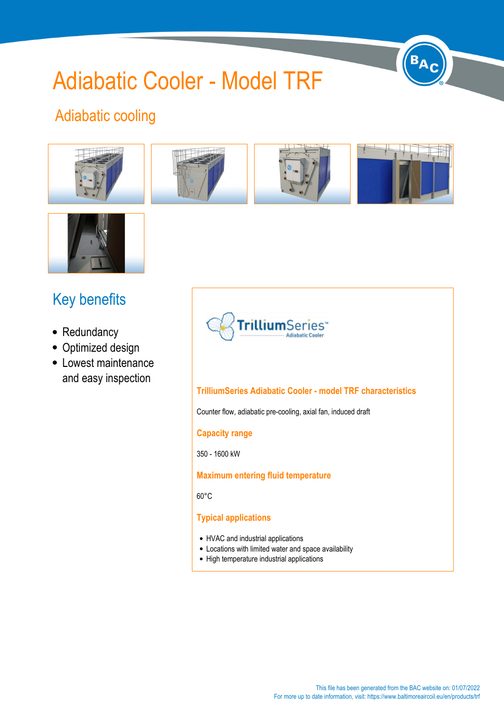# Adiabatic Cooler - Model TRF



# Adiabatic cooling





# Key benefits

- Redundancy
- Optimized design
- Lowest maintenance and easy inspection



#### **TrilliumSeries Adiabatic Cooler - model TRF characteristics**

Counter flow, adiabatic pre-cooling, axial fan, induced draft

#### **Capacity range**

350 - 1600 kW

#### **Maximum entering fluid temperature**

60°C

#### **Typical applications**

- HVAC and industrial applications
- Locations with limited water and space availability
- High temperature industrial applications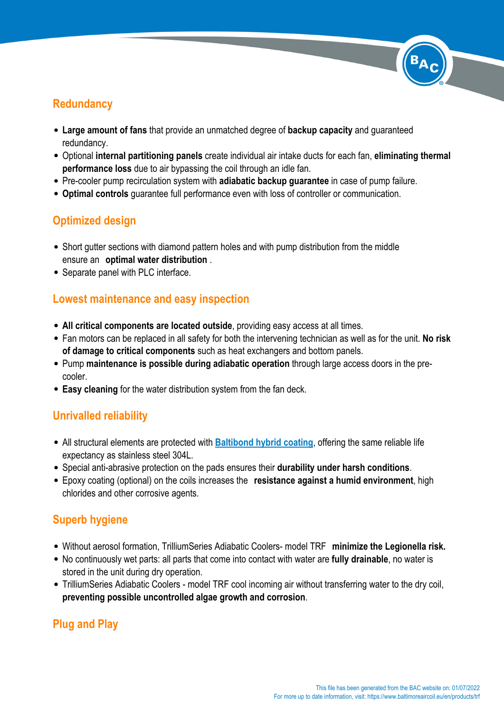## **Redundancy**

- **Large amount of fans** that provide an unmatched degree of **backup capacity** and guaranteed redundancy.
- Optional **internal partitioning panels** create individual air intake ducts for each fan, **eliminating thermal performance loss** due to air bypassing the coil through an idle fan.
- Pre-cooler pump recirculation system with **adiabatic backup guarantee** in case of pump failure.
- **Optimal controls** guarantee full performance even with loss of controller or communication.

## **Optimized design**

- Short gutter sections with diamond pattern holes and with pump distribution from the middle ensure an **optimal water distribution** .
- Separate panel with PLC interface.

#### **Lowest maintenance and easy inspection**

- **All critical components are located outside**, providing easy access at all times.
- Fan motors can be replaced in all safety for both the intervening technician as well as for the unit. **No risk of damage to critical components** such as heat exchangers and bottom panels.
- Pump **maintenance is possible during adiabatic operation** through large access doors in the precooler.
- **Easy cleaning** for the water distribution system from the fan deck.

## **Unrivalled reliability**

- All structural elements are protected with **[Baltibond hybrid coating](https://www.baltimoreaircoil.eu//en/node/6083)**, offering the same reliable life expectancy as stainless steel 304L.
- Special anti-abrasive protection on the pads ensures their **durability under harsh conditions**.
- Epoxy coating (optional) on the coils increases the **resistance against a humid environment**, high chlorides and other corrosive agents.

## **Superb hygiene**

- Without aerosol formation, TrilliumSeries Adiabatic Coolers- model TRF **minimize the Legionella risk.**
- No continuously wet parts: all parts that come into contact with water are **fully drainable**, no water is stored in the unit during dry operation.
- TrilliumSeries Adiabatic Coolers model TRF cool incoming air without transferring water to the dry coil, **preventing possible uncontrolled algae growth and corrosion**.

## **Plug and Play**